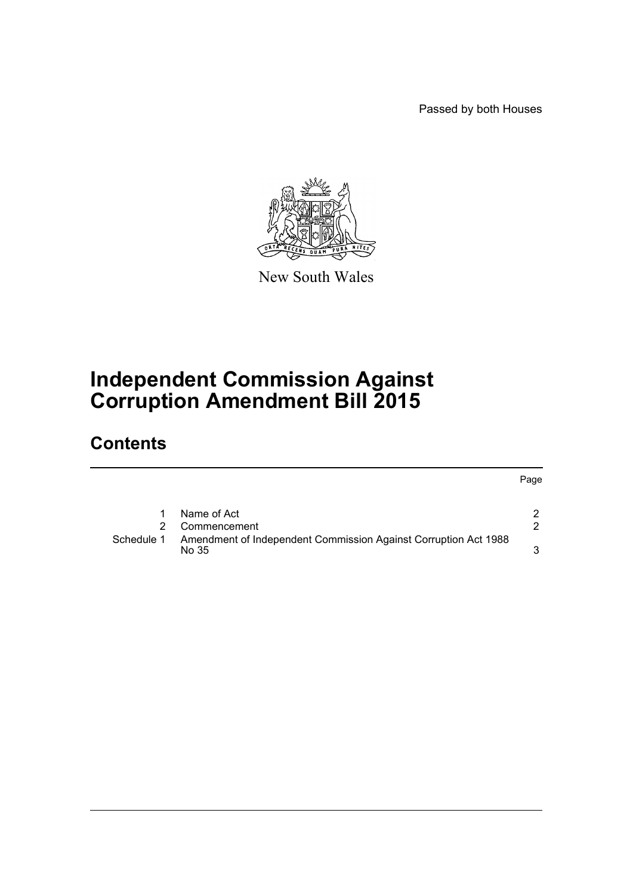Passed by both Houses

Page



New South Wales

## **Independent Commission Against Corruption Amendment Bill 2015**

## **Contents**

| 1 Name of Act            | $\mathbf{2}^{\prime}$ |
|--------------------------|-----------------------|
| $\bigcap_{n=1}^{\infty}$ |                       |

|            | 2 Commencement                                                           |  |
|------------|--------------------------------------------------------------------------|--|
| Schedule 1 | Amendment of Independent Commission Against Corruption Act 1988<br>No 35 |  |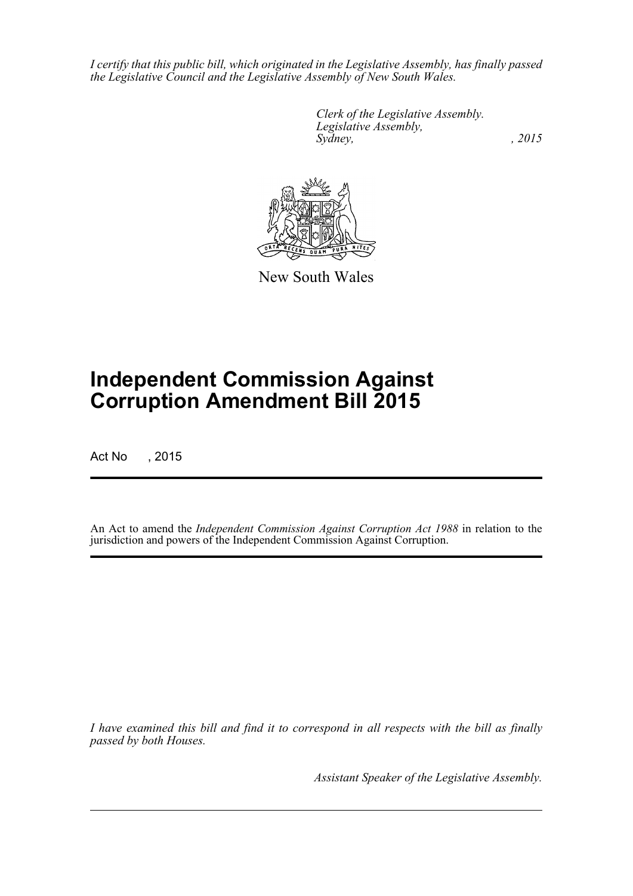*I certify that this public bill, which originated in the Legislative Assembly, has finally passed the Legislative Council and the Legislative Assembly of New South Wales.*

> *Clerk of the Legislative Assembly. Legislative Assembly, Sydney,* , 2015



New South Wales

# **Independent Commission Against Corruption Amendment Bill 2015**

Act No , 2015

An Act to amend the *Independent Commission Against Corruption Act 1988* in relation to the jurisdiction and powers of the Independent Commission Against Corruption.

*I have examined this bill and find it to correspond in all respects with the bill as finally passed by both Houses.*

*Assistant Speaker of the Legislative Assembly.*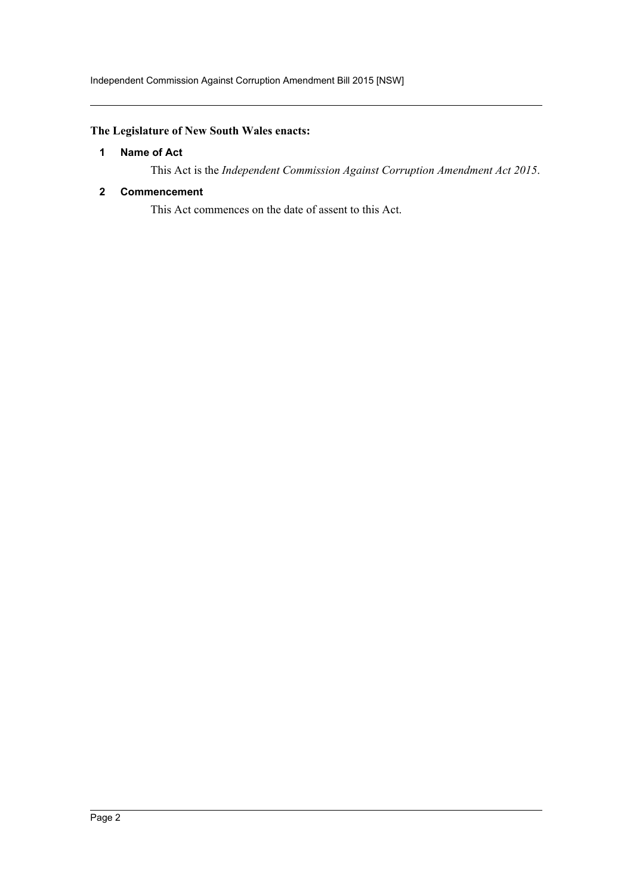## <span id="page-2-0"></span>**The Legislature of New South Wales enacts:**

## **1 Name of Act**

This Act is the *Independent Commission Against Corruption Amendment Act 2015*.

#### <span id="page-2-1"></span>**2 Commencement**

This Act commences on the date of assent to this Act.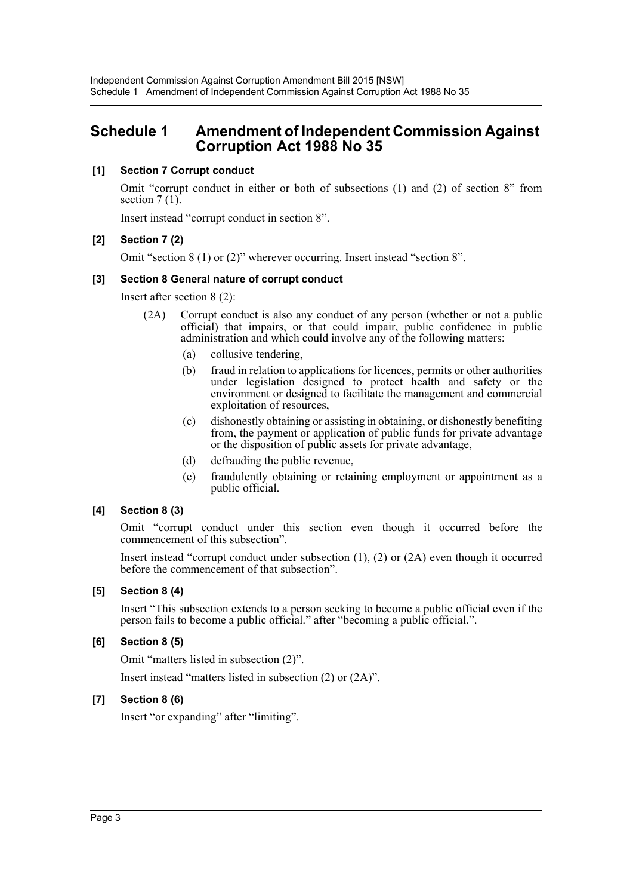## <span id="page-3-0"></span>**Schedule 1 Amendment of Independent Commission Against Corruption Act 1988 No 35**

## **[1] Section 7 Corrupt conduct**

Omit "corrupt conduct in either or both of subsections (1) and (2) of section 8" from section  $7(1)$ .

Insert instead "corrupt conduct in section 8".

## **[2] Section 7 (2)**

Omit "section 8 (1) or (2)" wherever occurring. Insert instead "section 8".

## **[3] Section 8 General nature of corrupt conduct**

Insert after section 8 (2):

- (2A) Corrupt conduct is also any conduct of any person (whether or not a public official) that impairs, or that could impair, public confidence in public administration and which could involve any of the following matters:
	- (a) collusive tendering,
	- (b) fraud in relation to applications for licences, permits or other authorities under legislation designed to protect health and safety or the environment or designed to facilitate the management and commercial exploitation of resources,
	- (c) dishonestly obtaining or assisting in obtaining, or dishonestly benefiting from, the payment or application of public funds for private advantage or the disposition of public assets for private advantage,
	- (d) defrauding the public revenue,
	- (e) fraudulently obtaining or retaining employment or appointment as a public official.

## **[4] Section 8 (3)**

Omit "corrupt conduct under this section even though it occurred before the commencement of this subsection".

Insert instead "corrupt conduct under subsection (1), (2) or (2A) even though it occurred before the commencement of that subsection".

## **[5] Section 8 (4)**

Insert "This subsection extends to a person seeking to become a public official even if the person fails to become a public official." after "becoming a public official.".

## **[6] Section 8 (5)**

Omit "matters listed in subsection (2)".

Insert instead "matters listed in subsection (2) or (2A)".

## **[7] Section 8 (6)**

Insert "or expanding" after "limiting".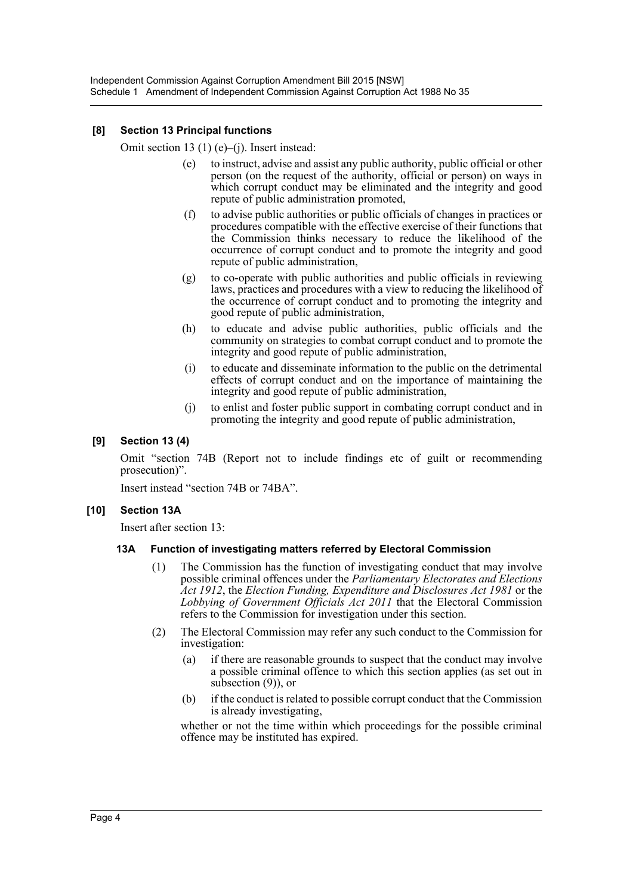#### **[8] Section 13 Principal functions**

Omit section 13 (1) (e)–(j). Insert instead:

- (e) to instruct, advise and assist any public authority, public official or other person (on the request of the authority, official or person) on ways in which corrupt conduct may be eliminated and the integrity and good repute of public administration promoted,
- (f) to advise public authorities or public officials of changes in practices or procedures compatible with the effective exercise of their functions that the Commission thinks necessary to reduce the likelihood of the occurrence of corrupt conduct and to promote the integrity and good repute of public administration,
- (g) to co-operate with public authorities and public officials in reviewing laws, practices and procedures with a view to reducing the likelihood of the occurrence of corrupt conduct and to promoting the integrity and good repute of public administration,
- (h) to educate and advise public authorities, public officials and the community on strategies to combat corrupt conduct and to promote the integrity and good repute of public administration,
- (i) to educate and disseminate information to the public on the detrimental effects of corrupt conduct and on the importance of maintaining the integrity and good repute of public administration,
- (j) to enlist and foster public support in combating corrupt conduct and in promoting the integrity and good repute of public administration,

#### **[9] Section 13 (4)**

Omit "section 74B (Report not to include findings etc of guilt or recommending prosecution)".

Insert instead "section 74B or 74BA".

#### **[10] Section 13A**

Insert after section 13:

#### **13A Function of investigating matters referred by Electoral Commission**

- (1) The Commission has the function of investigating conduct that may involve possible criminal offences under the *Parliamentary Electorates and Elections Act 1912*, the *Election Funding, Expenditure and Disclosures Act 1981* or the *Lobbying of Government Officials Act 2011* that the Electoral Commission refers to the Commission for investigation under this section.
- (2) The Electoral Commission may refer any such conduct to the Commission for investigation:
	- (a) if there are reasonable grounds to suspect that the conduct may involve a possible criminal offence to which this section applies (as set out in subsection (9)), or
	- (b) if the conduct is related to possible corrupt conduct that the Commission is already investigating,

whether or not the time within which proceedings for the possible criminal offence may be instituted has expired.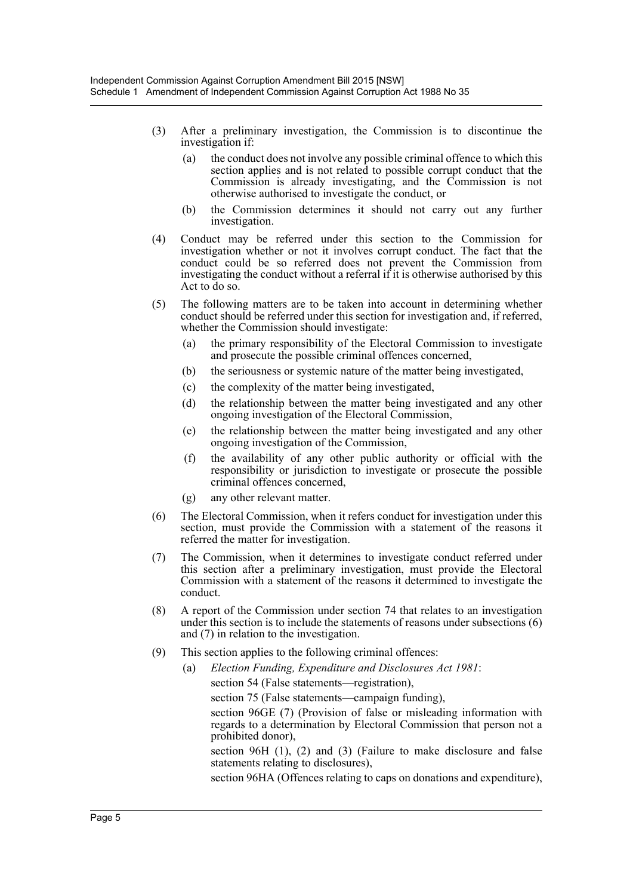- (3) After a preliminary investigation, the Commission is to discontinue the investigation if:
	- (a) the conduct does not involve any possible criminal offence to which this section applies and is not related to possible corrupt conduct that the Commission is already investigating, and the Commission is not otherwise authorised to investigate the conduct, or
	- (b) the Commission determines it should not carry out any further investigation.
- (4) Conduct may be referred under this section to the Commission for investigation whether or not it involves corrupt conduct. The fact that the conduct could be so referred does not prevent the Commission from investigating the conduct without a referral if it is otherwise authorised by this Act to do so.
- (5) The following matters are to be taken into account in determining whether conduct should be referred under this section for investigation and, if referred, whether the Commission should investigate:
	- (a) the primary responsibility of the Electoral Commission to investigate and prosecute the possible criminal offences concerned,
	- (b) the seriousness or systemic nature of the matter being investigated,
	- (c) the complexity of the matter being investigated,
	- (d) the relationship between the matter being investigated and any other ongoing investigation of the Electoral Commission,
	- (e) the relationship between the matter being investigated and any other ongoing investigation of the Commission,
	- (f) the availability of any other public authority or official with the responsibility or jurisdiction to investigate or prosecute the possible criminal offences concerned,
	- (g) any other relevant matter.
- (6) The Electoral Commission, when it refers conduct for investigation under this section, must provide the Commission with a statement of the reasons it referred the matter for investigation.
- (7) The Commission, when it determines to investigate conduct referred under this section after a preliminary investigation, must provide the Electoral Commission with a statement of the reasons it determined to investigate the conduct.
- (8) A report of the Commission under section 74 that relates to an investigation under this section is to include the statements of reasons under subsections (6) and (7) in relation to the investigation.
- (9) This section applies to the following criminal offences:
	- (a) *Election Funding, Expenditure and Disclosures Act 1981*:
		- section 54 (False statements—registration),

section 75 (False statements—campaign funding),

section 96GE (7) (Provision of false or misleading information with regards to a determination by Electoral Commission that person not a prohibited donor),

section 96H (1), (2) and (3) (Failure to make disclosure and false statements relating to disclosures),

section 96HA (Offences relating to caps on donations and expenditure),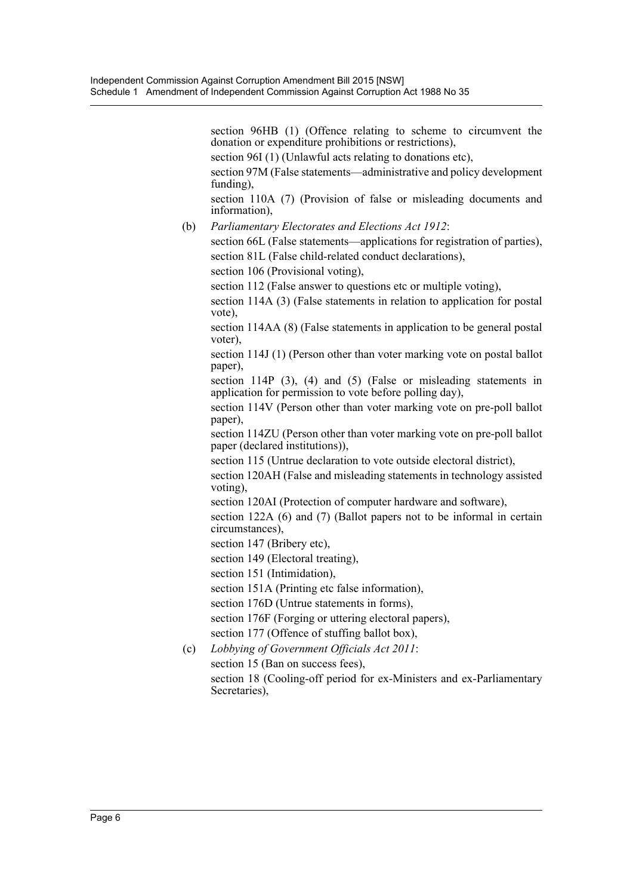section 96HB (1) (Offence relating to scheme to circumvent the donation or expenditure prohibitions or restrictions),

section 96I (1) (Unlawful acts relating to donations etc),

section 97M (False statements—administrative and policy development funding),

section 110A (7) (Provision of false or misleading documents and information),

(b) *Parliamentary Electorates and Elections Act 1912*:

section 66L (False statements—applications for registration of parties), section 81L (False child-related conduct declarations),

section 106 (Provisional voting),

section 112 (False answer to questions etc or multiple voting).

section 114A (3) (False statements in relation to application for postal vote),

section 114AA (8) (False statements in application to be general postal voter),

section 114J (1) (Person other than voter marking vote on postal ballot paper),

section 114P (3), (4) and (5) (False or misleading statements in application for permission to vote before polling day),

section 114V (Person other than voter marking vote on pre-poll ballot paper),

section 114ZU (Person other than voter marking vote on pre-poll ballot paper (declared institutions)),

section 115 (Untrue declaration to vote outside electoral district),

section 120AH (False and misleading statements in technology assisted voting),

section 120AI (Protection of computer hardware and software),

section 122A (6) and (7) (Ballot papers not to be informal in certain circumstances),

section 147 (Bribery etc),

section 149 (Electoral treating),

section 151 (Intimidation),

section 151A (Printing etc false information),

section 176D (Untrue statements in forms),

section 176F (Forging or uttering electoral papers),

section 177 (Offence of stuffing ballot box),

(c) *Lobbying of Government Officials Act 2011*:

section 15 (Ban on success fees),

section 18 (Cooling-off period for ex-Ministers and ex-Parliamentary Secretaries),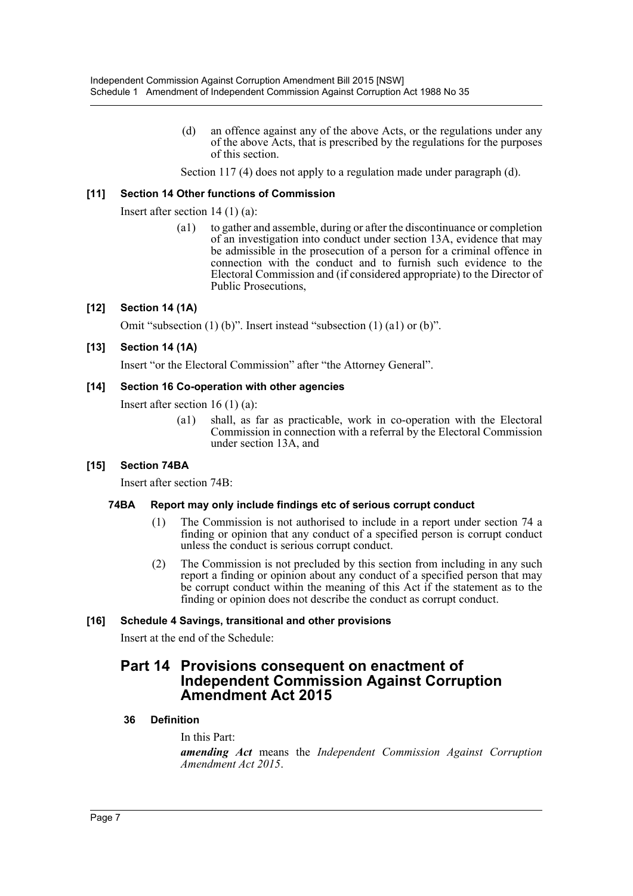(d) an offence against any of the above Acts, or the regulations under any of the above Acts, that is prescribed by the regulations for the purposes of this section.

Section 117 (4) does not apply to a regulation made under paragraph (d).

## **[11] Section 14 Other functions of Commission**

Insert after section 14 (1) (a):

(a1) to gather and assemble, during or after the discontinuance or completion of an investigation into conduct under section 13A, evidence that may be admissible in the prosecution of a person for a criminal offence in connection with the conduct and to furnish such evidence to the Electoral Commission and (if considered appropriate) to the Director of Public Prosecutions,

#### **[12] Section 14 (1A)**

Omit "subsection (1) (b)". Insert instead "subsection (1) (a1) or (b)".

#### **[13] Section 14 (1A)**

Insert "or the Electoral Commission" after "the Attorney General".

#### **[14] Section 16 Co-operation with other agencies**

Insert after section 16 (1) (a):

(a1) shall, as far as practicable, work in co-operation with the Electoral Commission in connection with a referral by the Electoral Commission under section 13A, and

## **[15] Section 74BA**

Insert after section 74B:

#### **74BA Report may only include findings etc of serious corrupt conduct**

- (1) The Commission is not authorised to include in a report under section 74 a finding or opinion that any conduct of a specified person is corrupt conduct unless the conduct is serious corrupt conduct.
- (2) The Commission is not precluded by this section from including in any such report a finding or opinion about any conduct of a specified person that may be corrupt conduct within the meaning of this Act if the statement as to the finding or opinion does not describe the conduct as corrupt conduct.

## **[16] Schedule 4 Savings, transitional and other provisions**

Insert at the end of the Schedule:

## **Part 14 Provisions consequent on enactment of Independent Commission Against Corruption Amendment Act 2015**

#### **36 Definition**

In this Part: *amending Act* means the *Independent Commission Against Corruption Amendment Act 2015*.